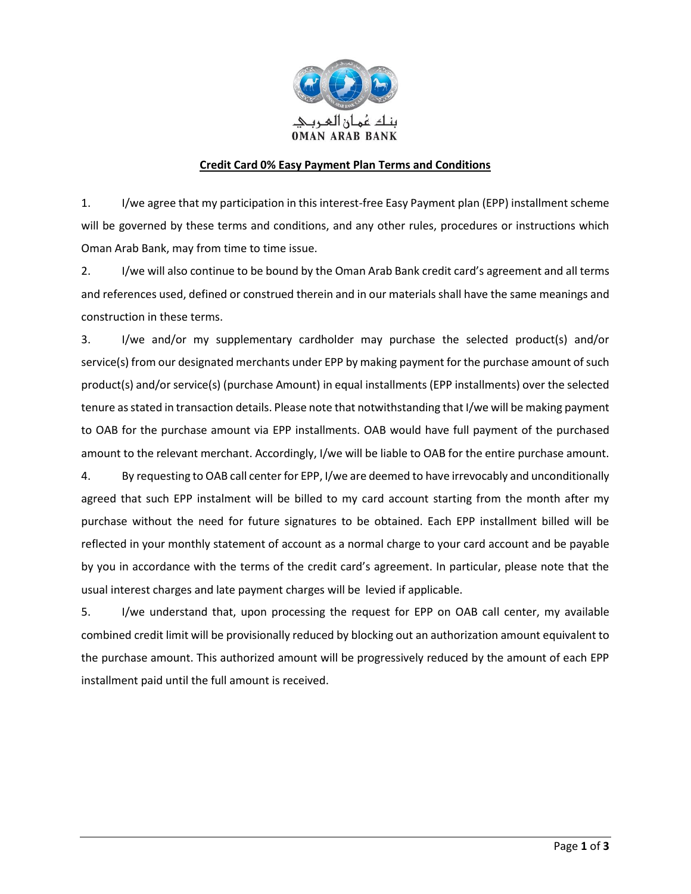

## **Credit Card 0% Easy Payment Plan Terms and Conditions**

1. I/we agree that my participation in this interest-free Easy Payment plan (EPP) installment scheme will be governed by these terms and conditions, and any other rules, procedures or instructions which Oman Arab Bank, may from time to time issue.

2. I/we will also continue to be bound by the Oman Arab Bank credit card's agreement and all terms and references used, defined or construed therein and in our materials shall have the same meanings and construction in these terms.

3. I/we and/or my supplementary cardholder may purchase the selected product(s) and/or service(s) from our designated merchants under EPP by making payment for the purchase amount of such product(s) and/or service(s) (purchase Amount) in equal installments (EPP installments) over the selected tenure as stated in transaction details. Please note that notwithstanding that I/we will be making payment to OAB for the purchase amount via EPP installments. OAB would have full payment of the purchased amount to the relevant merchant. Accordingly, I/we will be liable to OAB for the entire purchase amount.

4. By requesting to OAB call center for EPP, I/we are deemed to have irrevocably and unconditionally agreed that such EPP instalment will be billed to my card account starting from the month after my purchase without the need for future signatures to be obtained. Each EPP installment billed will be reflected in your monthly statement of account as a normal charge to your card account and be payable by you in accordance with the terms of the credit card's agreement. In particular, please note that the usual interest charges and late payment charges will be levied if applicable.

5. I/we understand that, upon processing the request for EPP on OAB call center, my available combined credit limit will be provisionally reduced by blocking out an authorization amount equivalent to the purchase amount. This authorized amount will be progressively reduced by the amount of each EPP installment paid until the full amount is received.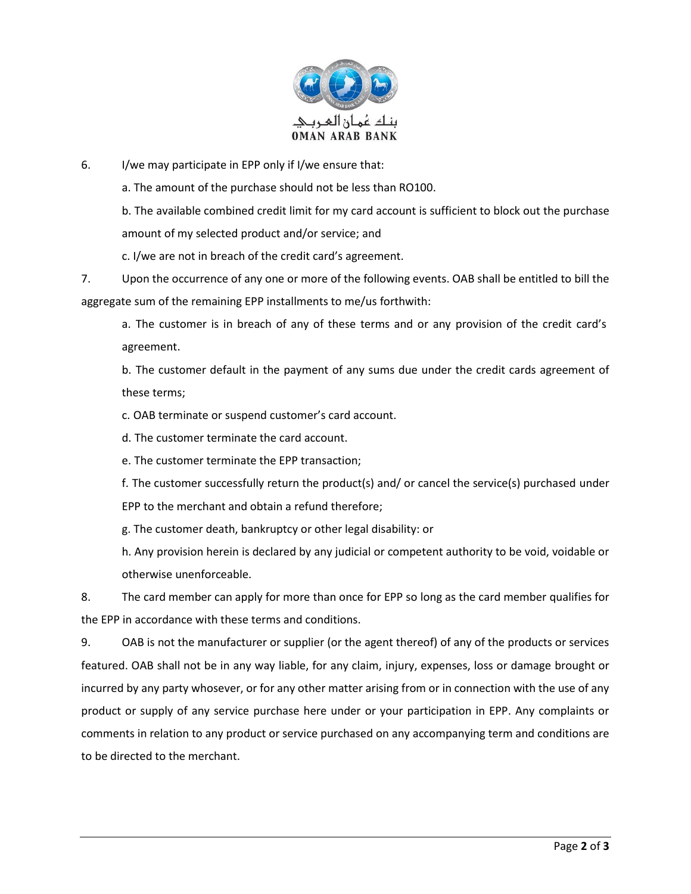

6. I/we may participate in EPP only if I/we ensure that:

a. The amount of the purchase should not be less than RO100.

b. The available combined credit limit for my card account is sufficient to block out the purchase amount of my selected product and/or service; and

c. I/we are not in breach of the credit card's agreement.

7. Upon the occurrence of any one or more of the following events. OAB shall be entitled to bill the aggregate sum of the remaining EPP installments to me/us forthwith:

a. The customer is in breach of any of these terms and or any provision of the credit card's agreement.

b. The customer default in the payment of any sums due under the credit cards agreement of these terms;

c. OAB terminate or suspend customer's card account.

d. The customer terminate the card account.

e. The customer terminate the EPP transaction;

f. The customer successfully return the product(s) and/ or cancel the service(s) purchased under EPP to the merchant and obtain a refund therefore;

g. The customer death, bankruptcy or other legal disability: or

h. Any provision herein is declared by any judicial or competent authority to be void, voidable or otherwise unenforceable.

8. The card member can apply for more than once for EPP so long as the card member qualifies for the EPP in accordance with these terms and conditions.

9. OAB is not the manufacturer or supplier (or the agent thereof) of any of the products or services featured. OAB shall not be in any way liable, for any claim, injury, expenses, loss or damage brought or incurred by any party whosever, or for any other matter arising from or in connection with the use of any product or supply of any service purchase here under or your participation in EPP. Any complaints or comments in relation to any product or service purchased on any accompanying term and conditions are to be directed to the merchant.